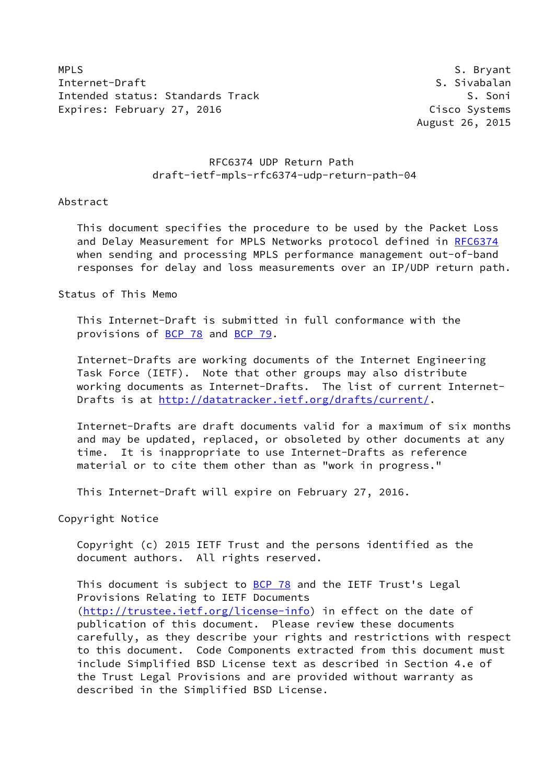MPLS S. Bryant Internet-Draft S. Sivabalan Intended status: Standards Track S. Soni Expires: February 27, 2016 Cisco Systems

August 26, 2015

# RFC6374 UDP Return Path draft-ietf-mpls-rfc6374-udp-return-path-04

## Abstract

 This document specifies the procedure to be used by the Packet Loss and Delay Measurement for MPLS Networks protocol defined in [RFC6374](https://datatracker.ietf.org/doc/pdf/rfc6374) when sending and processing MPLS performance management out-of-band responses for delay and loss measurements over an IP/UDP return path.

Status of This Memo

 This Internet-Draft is submitted in full conformance with the provisions of [BCP 78](https://datatracker.ietf.org/doc/pdf/bcp78) and [BCP 79](https://datatracker.ietf.org/doc/pdf/bcp79).

 Internet-Drafts are working documents of the Internet Engineering Task Force (IETF). Note that other groups may also distribute working documents as Internet-Drafts. The list of current Internet- Drafts is at<http://datatracker.ietf.org/drafts/current/>.

 Internet-Drafts are draft documents valid for a maximum of six months and may be updated, replaced, or obsoleted by other documents at any time. It is inappropriate to use Internet-Drafts as reference material or to cite them other than as "work in progress."

This Internet-Draft will expire on February 27, 2016.

Copyright Notice

 Copyright (c) 2015 IETF Trust and the persons identified as the document authors. All rights reserved.

This document is subject to **[BCP 78](https://datatracker.ietf.org/doc/pdf/bcp78)** and the IETF Trust's Legal Provisions Relating to IETF Documents [\(http://trustee.ietf.org/license-info](http://trustee.ietf.org/license-info)) in effect on the date of publication of this document. Please review these documents carefully, as they describe your rights and restrictions with respect to this document. Code Components extracted from this document must include Simplified BSD License text as described in Section 4.e of the Trust Legal Provisions and are provided without warranty as described in the Simplified BSD License.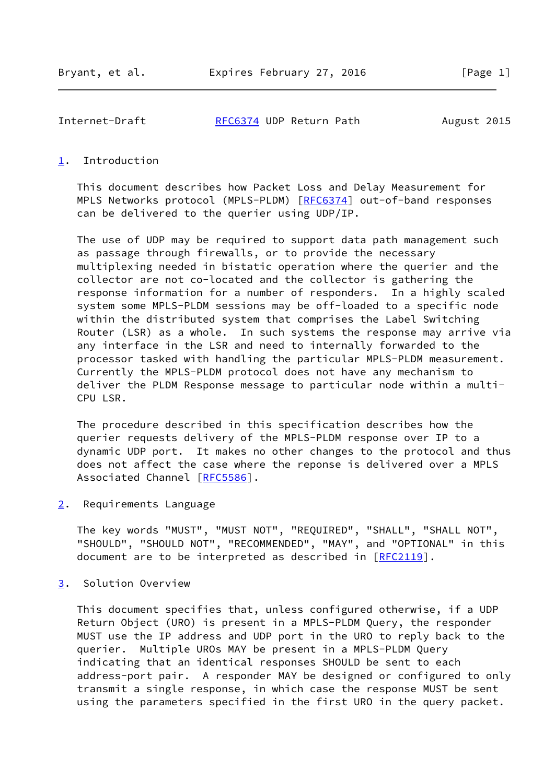Internet-Draft [RFC6374](https://datatracker.ietf.org/doc/pdf/rfc6374) UDP Return Path August 2015

## <span id="page-1-0"></span>[1](#page-1-0). Introduction

 This document describes how Packet Loss and Delay Measurement for MPLS Networks protocol (MPLS-PLDM) [[RFC6374\]](https://datatracker.ietf.org/doc/pdf/rfc6374) out-of-band responses can be delivered to the querier using UDP/IP.

 The use of UDP may be required to support data path management such as passage through firewalls, or to provide the necessary multiplexing needed in bistatic operation where the querier and the collector are not co-located and the collector is gathering the response information for a number of responders. In a highly scaled system some MPLS-PLDM sessions may be off-loaded to a specific node within the distributed system that comprises the Label Switching Router (LSR) as a whole. In such systems the response may arrive via any interface in the LSR and need to internally forwarded to the processor tasked with handling the particular MPLS-PLDM measurement. Currently the MPLS-PLDM protocol does not have any mechanism to deliver the PLDM Response message to particular node within a multi- CPU LSR.

 The procedure described in this specification describes how the querier requests delivery of the MPLS-PLDM response over IP to a dynamic UDP port. It makes no other changes to the protocol and thus does not affect the case where the reponse is delivered over a MPLS Associated Channel [[RFC5586\]](https://datatracker.ietf.org/doc/pdf/rfc5586).

<span id="page-1-1"></span>[2](#page-1-1). Requirements Language

 The key words "MUST", "MUST NOT", "REQUIRED", "SHALL", "SHALL NOT", "SHOULD", "SHOULD NOT", "RECOMMENDED", "MAY", and "OPTIONAL" in this document are to be interpreted as described in [\[RFC2119](https://datatracker.ietf.org/doc/pdf/rfc2119)].

<span id="page-1-2"></span>[3](#page-1-2). Solution Overview

 This document specifies that, unless configured otherwise, if a UDP Return Object (URO) is present in a MPLS-PLDM Query, the responder MUST use the IP address and UDP port in the URO to reply back to the querier. Multiple UROs MAY be present in a MPLS-PLDM Query indicating that an identical responses SHOULD be sent to each address-port pair. A responder MAY be designed or configured to only transmit a single response, in which case the response MUST be sent using the parameters specified in the first URO in the query packet.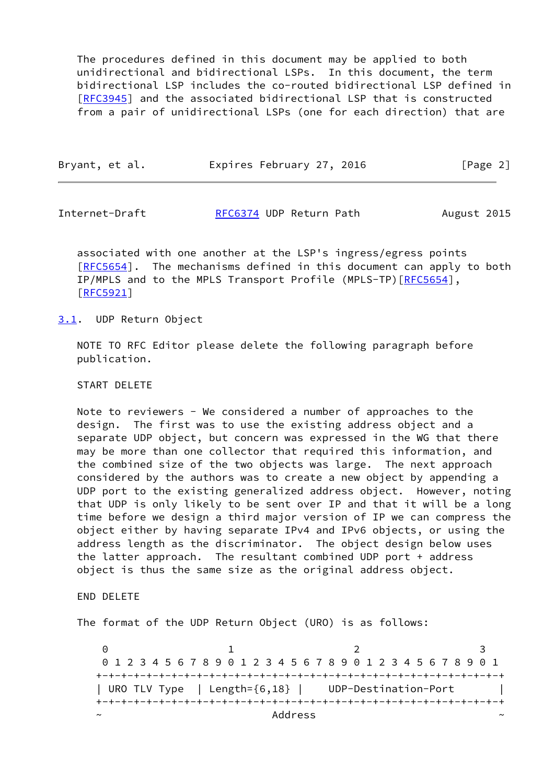The procedures defined in this document may be applied to both unidirectional and bidirectional LSPs. In this document, the term bidirectional LSP includes the co-routed bidirectional LSP defined in [\[RFC3945](https://datatracker.ietf.org/doc/pdf/rfc3945)] and the associated bidirectional LSP that is constructed from a pair of unidirectional LSPs (one for each direction) that are

| Bryant, et al. | Expires February 27, 2016 | [Page 2] |
|----------------|---------------------------|----------|
|                |                           |          |

Internet-Draft [RFC6374](https://datatracker.ietf.org/doc/pdf/rfc6374) UDP Return Path August 2015

 associated with one another at the LSP's ingress/egress points [\[RFC5654](https://datatracker.ietf.org/doc/pdf/rfc5654)]. The mechanisms defined in this document can apply to both IP/MPLS and to the MPLS Transport Profile (MPLS-TP) [[RFC5654\]](https://datatracker.ietf.org/doc/pdf/rfc5654), [\[RFC5921](https://datatracker.ietf.org/doc/pdf/rfc5921)]

### <span id="page-2-0"></span>[3.1](#page-2-0). UDP Return Object

 NOTE TO RFC Editor please delete the following paragraph before publication.

#### START DELETE

 Note to reviewers - We considered a number of approaches to the design. The first was to use the existing address object and a separate UDP object, but concern was expressed in the WG that there may be more than one collector that required this information, and the combined size of the two objects was large. The next approach considered by the authors was to create a new object by appending a UDP port to the existing generalized address object. However, noting that UDP is only likely to be sent over IP and that it will be a long time before we design a third major version of IP we can compress the object either by having separate IPv4 and IPv6 objects, or using the address length as the discriminator. The object design below uses the latter approach. The resultant combined UDP port + address object is thus the same size as the original address object.

END DELETE

The format of the UDP Return Object (URO) is as follows:

0 1 2 3 0 1 2 3 4 5 6 7 8 9 0 1 2 3 4 5 6 7 8 9 0 1 2 3 4 5 6 7 8 9 0 1 +-+-+-+-+-+-+-+-+-+-+-+-+-+-+-+-+-+-+-+-+-+-+-+-+-+-+-+-+-+-+-+-+ | URO TLV Type | Length={6,18} | UDP-Destination-Port | +-+-+-+-+-+-+-+-+-+-+-+-+-+-+-+-+-+-+-+-+-+-+-+-+-+-+-+-+-+-+-+-+ ~ Address ~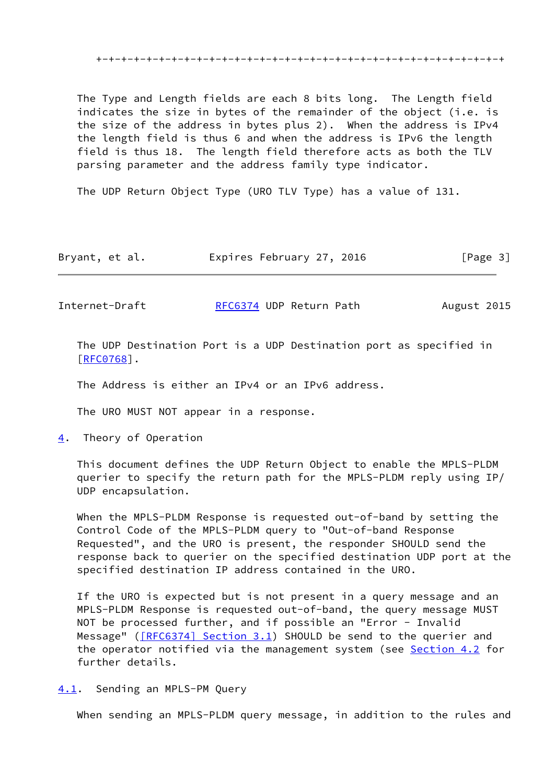The Type and Length fields are each 8 bits long. The Length field indicates the size in bytes of the remainder of the object (i.e. is the size of the address in bytes plus 2). When the address is IPv4 the length field is thus 6 and when the address is IPv6 the length field is thus 18. The length field therefore acts as both the TLV parsing parameter and the address family type indicator.

The UDP Return Object Type (URO TLV Type) has a value of 131.

| Bryant, et al. | Expires February 27, 2016 | [Page 3] |
|----------------|---------------------------|----------|
|----------------|---------------------------|----------|

Internet-Draft [RFC6374](https://datatracker.ietf.org/doc/pdf/rfc6374) UDP Return Path August 2015

 The UDP Destination Port is a UDP Destination port as specified in [\[RFC0768](https://datatracker.ietf.org/doc/pdf/rfc0768)].

The Address is either an IPv4 or an IPv6 address.

The URO MUST NOT appear in a response.

<span id="page-3-0"></span>[4](#page-3-0). Theory of Operation

 This document defines the UDP Return Object to enable the MPLS-PLDM querier to specify the return path for the MPLS-PLDM reply using IP/ UDP encapsulation.

 When the MPLS-PLDM Response is requested out-of-band by setting the Control Code of the MPLS-PLDM query to "Out-of-band Response Requested", and the URO is present, the responder SHOULD send the response back to querier on the specified destination UDP port at the specified destination IP address contained in the URO.

 If the URO is expected but is not present in a query message and an MPLS-PLDM Response is requested out-of-band, the query message MUST NOT be processed further, and if possible an "Error - Invalid Message" ( $[REG374]$  Section 3.1) SHOULD be send to the querier and the operator notified via the management system (see [Section 4.2](#page-4-0) for further details.

<span id="page-3-1"></span>[4.1](#page-3-1). Sending an MPLS-PM Query

When sending an MPLS-PLDM query message, in addition to the rules and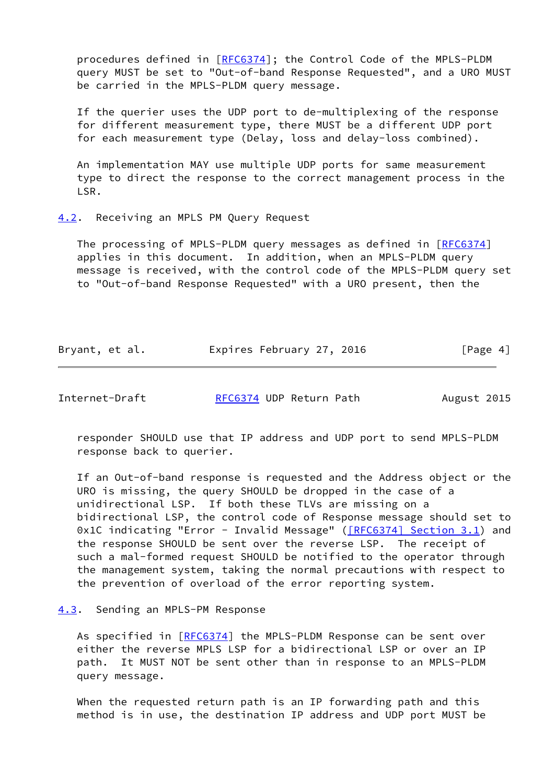procedures defined in [[RFC6374](https://datatracker.ietf.org/doc/pdf/rfc6374)]; the Control Code of the MPLS-PLDM query MUST be set to "Out-of-band Response Requested", and a URO MUST be carried in the MPLS-PLDM query message.

 If the querier uses the UDP port to de-multiplexing of the response for different measurement type, there MUST be a different UDP port for each measurement type (Delay, loss and delay-loss combined).

 An implementation MAY use multiple UDP ports for same measurement type to direct the response to the correct management process in the LSR.

## <span id="page-4-0"></span>[4.2](#page-4-0). Receiving an MPLS PM Query Request

The processing of MPLS-PLDM query messages as defined in [\[RFC6374](https://datatracker.ietf.org/doc/pdf/rfc6374)] applies in this document. In addition, when an MPLS-PLDM query message is received, with the control code of the MPLS-PLDM query set to "Out-of-band Response Requested" with a URO present, then the

| Bryant, et al. | Expires February 27, 2016 | [Page 4] |
|----------------|---------------------------|----------|
|----------------|---------------------------|----------|

Internet-Draft [RFC6374](https://datatracker.ietf.org/doc/pdf/rfc6374) UDP Return Path August 2015

 responder SHOULD use that IP address and UDP port to send MPLS-PLDM response back to querier.

 If an Out-of-band response is requested and the Address object or the URO is missing, the query SHOULD be dropped in the case of a unidirectional LSP. If both these TLVs are missing on a bidirectional LSP, the control code of Response message should set to 0x1C indicating "Error - Invalid Message" ( $[REC6374]$  Section 3.1) and the response SHOULD be sent over the reverse LSP. The receipt of such a mal-formed request SHOULD be notified to the operator through the management system, taking the normal precautions with respect to the prevention of overload of the error reporting system.

## <span id="page-4-1"></span>[4.3](#page-4-1). Sending an MPLS-PM Response

As specified in [\[RFC6374](https://datatracker.ietf.org/doc/pdf/rfc6374)] the MPLS-PLDM Response can be sent over either the reverse MPLS LSP for a bidirectional LSP or over an IP path. It MUST NOT be sent other than in response to an MPLS-PLDM query message.

 When the requested return path is an IP forwarding path and this method is in use, the destination IP address and UDP port MUST be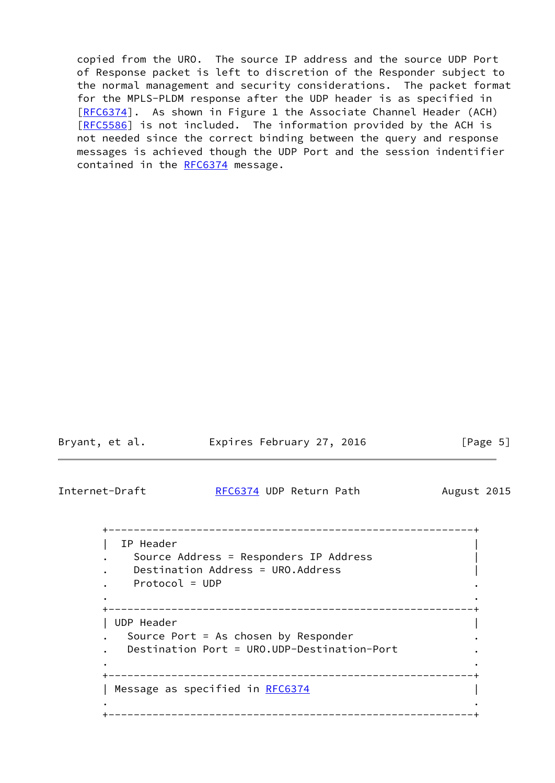copied from the URO. The source IP address and the source UDP Port of Response packet is left to discretion of the Responder subject to the normal management and security considerations. The packet format for the MPLS-PLDM response after the UDP header is as specified in [\[RFC6374](https://datatracker.ietf.org/doc/pdf/rfc6374)]. As shown in Figure 1 the Associate Channel Header (ACH) [\[RFC5586](https://datatracker.ietf.org/doc/pdf/rfc5586)] is not included. The information provided by the ACH is not needed since the correct binding between the query and response messages is achieved though the UDP Port and the session indentifier contained in the [RFC6374](https://datatracker.ietf.org/doc/pdf/rfc6374) message.

| Bryant, et al.                | Expires February 27, 2016                                                                                 | [Page $5$ ] |
|-------------------------------|-----------------------------------------------------------------------------------------------------------|-------------|
| Internet-Draft                | RFC6374 UDP Return Path                                                                                   | August 2015 |
| IP Header<br>$Protocol = UDP$ | Source Address = Responders IP Address<br>Destination Address = URO.Address<br>__________________________ |             |
| UDP Header                    | Source Port = As chosen by Responder<br>Destination Port = URO.UDP-Destination-Port                       |             |
|                               | --------------------------------------<br>Message as specified in RFC6374<br>_______________              |             |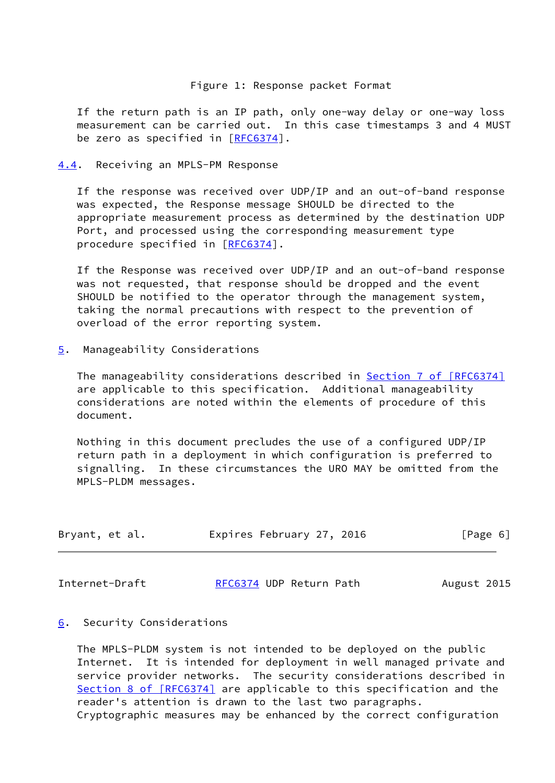## Figure 1: Response packet Format

 If the return path is an IP path, only one-way delay or one-way loss measurement can be carried out. In this case timestamps 3 and 4 MUST be zero as specified in [\[RFC6374](https://datatracker.ietf.org/doc/pdf/rfc6374)].

<span id="page-6-0"></span>[4.4](#page-6-0). Receiving an MPLS-PM Response

 If the response was received over UDP/IP and an out-of-band response was expected, the Response message SHOULD be directed to the appropriate measurement process as determined by the destination UDP Port, and processed using the corresponding measurement type procedure specified in [\[RFC6374](https://datatracker.ietf.org/doc/pdf/rfc6374)].

 If the Response was received over UDP/IP and an out-of-band response was not requested, that response should be dropped and the event SHOULD be notified to the operator through the management system, taking the normal precautions with respect to the prevention of overload of the error reporting system.

<span id="page-6-1"></span>[5](#page-6-1). Manageability Considerations

The manageability considerations described in **Section [7 of \[RFC6374\]](https://datatracker.ietf.org/doc/pdf/rfc6374#section-7)**  are applicable to this specification. Additional manageability considerations are noted within the elements of procedure of this document.

 Nothing in this document precludes the use of a configured UDP/IP return path in a deployment in which configuration is preferred to signalling. In these circumstances the URO MAY be omitted from the MPLS-PLDM messages.

| Bryant, et al. | Expires February 27, 2016 | [Page 6] |  |
|----------------|---------------------------|----------|--|
|                |                           |          |  |

Internet-Draft [RFC6374](https://datatracker.ietf.org/doc/pdf/rfc6374) UDP Return Path August 2015

### <span id="page-6-2"></span>[6](#page-6-2). Security Considerations

 The MPLS-PLDM system is not intended to be deployed on the public Internet. It is intended for deployment in well managed private and service provider networks. The security considerations described in Section [8 of \[RFC6374\]](https://datatracker.ietf.org/doc/pdf/rfc6374#section-8) are applicable to this specification and the reader's attention is drawn to the last two paragraphs. Cryptographic measures may be enhanced by the correct configuration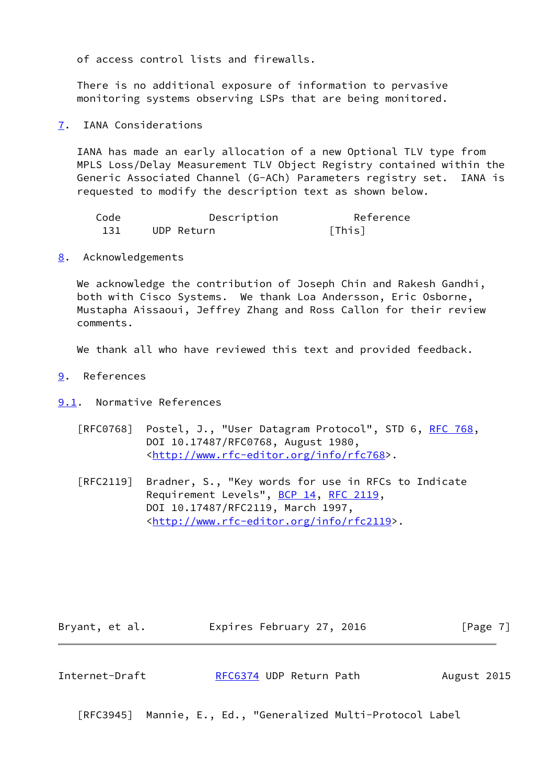of access control lists and firewalls.

 There is no additional exposure of information to pervasive monitoring systems observing LSPs that are being monitored.

<span id="page-7-0"></span>[7](#page-7-0). IANA Considerations

 IANA has made an early allocation of a new Optional TLV type from MPLS Loss/Delay Measurement TLV Object Registry contained within the Generic Associated Channel (G-ACh) Parameters registry set. IANA is requested to modify the description text as shown below.

| Code | Description | Reference |
|------|-------------|-----------|
| 131  | UDP Return  | [This]    |

<span id="page-7-1"></span>[8](#page-7-1). Acknowledgements

We acknowledge the contribution of Joseph Chin and Rakesh Gandhi, both with Cisco Systems. We thank Loa Andersson, Eric Osborne, Mustapha Aissaoui, Jeffrey Zhang and Ross Callon for their review comments.

We thank all who have reviewed this text and provided feedback.

- <span id="page-7-2"></span>[9](#page-7-2). References
- <span id="page-7-3"></span>[9.1](#page-7-3). Normative References
	- [RFC0768] Postel, J., "User Datagram Protocol", STD 6, [RFC 768](https://datatracker.ietf.org/doc/pdf/rfc768), DOI 10.17487/RFC0768, August 1980, <[http://www.rfc-editor.org/info/rfc768>](http://www.rfc-editor.org/info/rfc768).
	- [RFC2119] Bradner, S., "Key words for use in RFCs to Indicate Requirement Levels", [BCP 14](https://datatracker.ietf.org/doc/pdf/bcp14), [RFC 2119](https://datatracker.ietf.org/doc/pdf/rfc2119), DOI 10.17487/RFC2119, March 1997, <<http://www.rfc-editor.org/info/rfc2119>>.

Bryant, et al. Expires February 27, 2016 [Page 7]

| RFC6374 UDP Return Path<br>Internet-Draft | August 2015 |
|-------------------------------------------|-------------|
|-------------------------------------------|-------------|

[RFC3945] Mannie, E., Ed., "Generalized Multi-Protocol Label